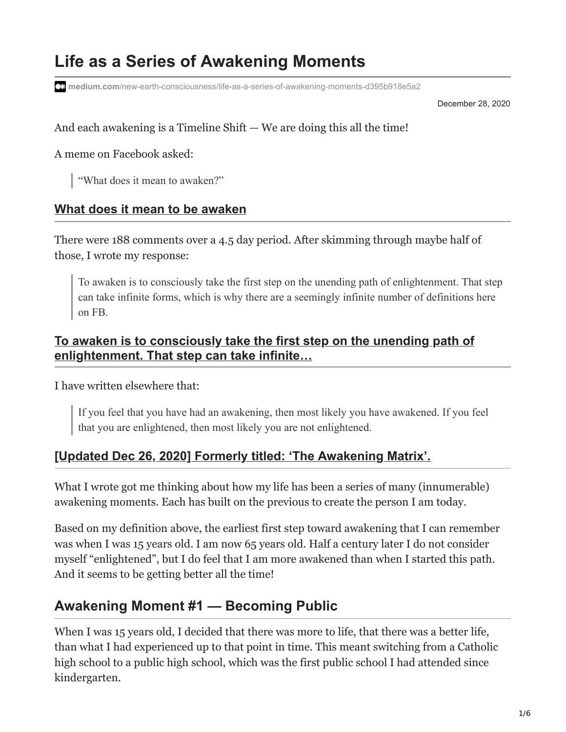# **Life as a Series of Awakening Moments**

**medium.com**[/new-earth-consciousness/life-as-a-series-of-awakening-moments-d395b918e5a2](https://medium.com/new-earth-consciousness/life-as-a-series-of-awakening-moments-d395b918e5a2)

December 28, 2020

And each awakening is a Timeline  $\text{Shift} - \text{We}$  are doing this all the time!

A meme on Facebook asked:

"What does it mean to awaken?"

#### **[What does it mean to be awaken](https://www.facebook.com/groups/460640397440450/permalink/1717318275105983/)**

There were 188 comments over a 4.5 day period. After skimming through maybe half of those, I wrote my response:

To awaken is to consciously take the first step on the unending path of enlightenment. That step can take infinite forms, which is why there are a seemingly infinite number of definitions here on FB.

#### **[To awaken is to consciously take the first step on the unending path of](https://www.facebook.com/groups/460640397440450/permalink/1717318275105983/?comment_id=1721349504702860) enlightenment. That step can take infinite…**

I have written elsewhere that:

If you feel that you have had an awakening, then most likely you have awakened. If you feel that you are enlightened, then most likely you are not enlightened.

#### **[\[Updated Dec 26, 2020\] Formerly titled: 'The Awakening Matrix'.](https://alanlew.medium.com/the-awakening-matrix-ac3d1953e8b7)**

What I wrote got me thinking about how my life has been a series of many (innumerable) awakening moments. Each has built on the previous to create the person I am today.

Based on my definition above, the earliest first step toward awakening that I can remember was when I was 15 years old. I am now 65 years old. Half a century later I do not consider myself "enlightened", but I do feel that I am more awakened than when I started this path. And it seems to be getting better all the time!

### **Awakening Moment #1 — Becoming Public**

When I was 15 years old, I decided that there was more to life, that there was a better life, than what I had experienced up to that point in time. This meant switching from a Catholic high school to a public high school, which was the first public school I had attended since kindergarten.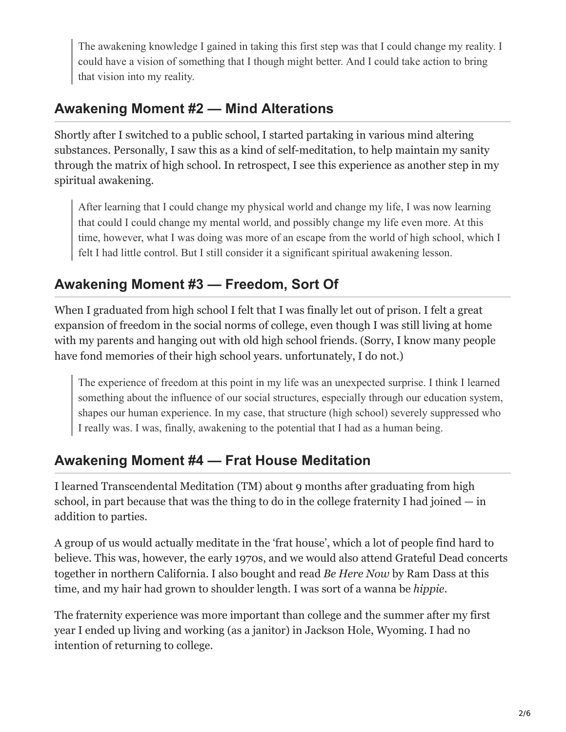The awakening knowledge I gained in taking this first step was that I could change my reality. I could have a vision of something that I though might better. And I could take action to bring that vision into my reality.

### **Awakening Moment #2 — Mind Alterations**

Shortly after I switched to a public school, I started partaking in various mind altering substances. Personally, I saw this as a kind of self-meditation, to help maintain my sanity through the matrix of high school. In retrospect, I see this experience as another step in my spiritual awakening.

After learning that I could change my physical world and change my life, I was now learning that could I could change my mental world, and possibly change my life even more. At this time, however, what I was doing was more of an escape from the world of high school, which I felt I had little control. But I still consider it a significant spiritual awakening lesson.

## **Awakening Moment #3 — Freedom, Sort Of**

When I graduated from high school I felt that I was finally let out of prison. I felt a great expansion of freedom in the social norms of college, even though I was still living at home with my parents and hanging out with old high school friends. (Sorry, I know many people have fond memories of their high school years. unfortunately, I do not.)

The experience of freedom at this point in my life was an unexpected surprise. I think I learned something about the influence of our social structures, especially through our education system, shapes our human experience. In my case, that structure (high school) severely suppressed who I really was. I was, finally, awakening to the potential that I had as a human being.

## **Awakening Moment #4 — Frat House Meditation**

I learned Transcendental Meditation (TM) about 9 months after graduating from high school, in part because that was the thing to do in the college fraternity I had joined  $-\text{in}$ addition to parties.

A group of us would actually meditate in the 'frat house', which a lot of people find hard to believe. This was, however, the early 1970s, and we would also attend Grateful Dead concerts together in northern California. I also bought and read *Be Here Now* by Ram Dass at this time, and my hair had grown to shoulder length. I was sort of a wanna be *hippie*.

The fraternity experience was more important than college and the summer after my first year I ended up living and working (as a janitor) in Jackson Hole, Wyoming. I had no intention of returning to college.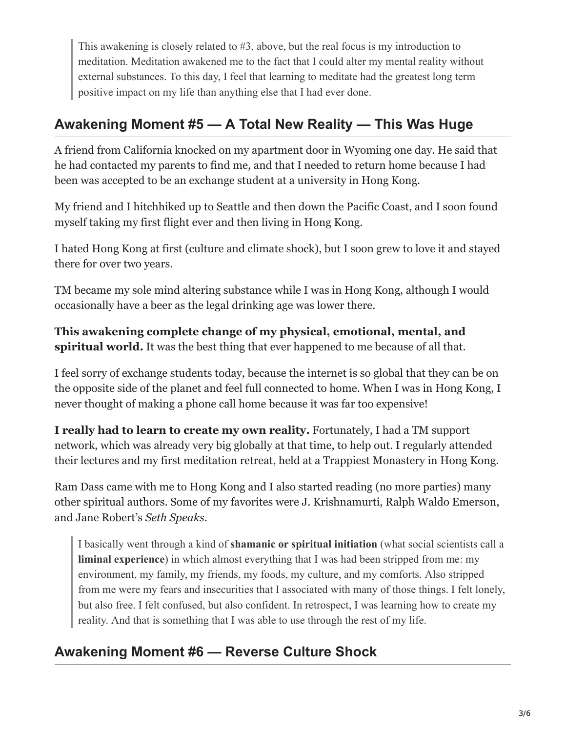This awakening is closely related to #3, above, but the real focus is my introduction to meditation. Meditation awakened me to the fact that I could alter my mental reality without external substances. To this day, I feel that learning to meditate had the greatest long term positive impact on my life than anything else that I had ever done.

## **Awakening Moment #5 — A Total New Reality — This Was Huge**

A friend from California knocked on my apartment door in Wyoming one day. He said that he had contacted my parents to find me, and that I needed to return home because I had been was accepted to be an exchange student at a university in Hong Kong.

My friend and I hitchhiked up to Seattle and then down the Pacific Coast, and I soon found myself taking my first flight ever and then living in Hong Kong.

I hated Hong Kong at first (culture and climate shock), but I soon grew to love it and stayed there for over two years.

TM became my sole mind altering substance while I was in Hong Kong, although I would occasionally have a beer as the legal drinking age was lower there.

**This awakening complete change of my physical, emotional, mental, and spiritual world.** It was the best thing that ever happened to me because of all that.

I feel sorry of exchange students today, because the internet is so global that they can be on the opposite side of the planet and feel full connected to home. When I was in Hong Kong, I never thought of making a phone call home because it was far too expensive!

**I really had to learn to create my own reality.** Fortunately, I had a TM support network, which was already very big globally at that time, to help out. I regularly attended their lectures and my first meditation retreat, held at a Trappiest Monastery in Hong Kong.

Ram Dass came with me to Hong Kong and I also started reading (no more parties) many other spiritual authors. Some of my favorites were J. Krishnamurti, Ralph Waldo Emerson, and Jane Robert's *Seth Speaks*.

I basically went through a kind of **shamanic or spiritual initiation** (what social scientists call a **liminal experience**) in which almost everything that I was had been stripped from me: my environment, my family, my friends, my foods, my culture, and my comforts. Also stripped from me were my fears and insecurities that I associated with many of those things. I felt lonely, but also free. I felt confused, but also confident. In retrospect, I was learning how to create my reality. And that is something that I was able to use through the rest of my life.

## **Awakening Moment #6 — Reverse Culture Shock**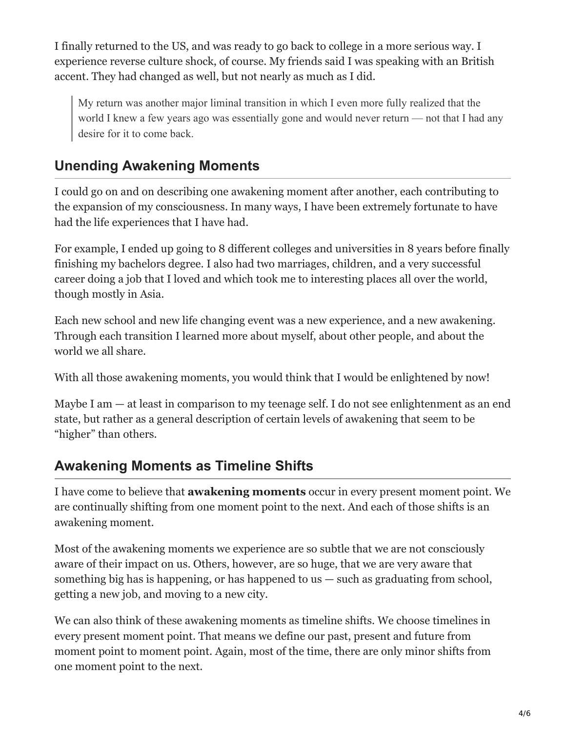I finally returned to the US, and was ready to go back to college in a more serious way. I experience reverse culture shock, of course. My friends said I was speaking with an British accent. They had changed as well, but not nearly as much as I did.

My return was another major liminal transition in which I even more fully realized that the world I knew a few years ago was essentially gone and would never return — not that I had any desire for it to come back.

## **Unending Awakening Moments**

I could go on and on describing one awakening moment after another, each contributing to the expansion of my consciousness. In many ways, I have been extremely fortunate to have had the life experiences that I have had.

For example, I ended up going to 8 different colleges and universities in 8 years before finally finishing my bachelors degree. I also had two marriages, children, and a very successful career doing a job that I loved and which took me to interesting places all over the world, though mostly in Asia.

Each new school and new life changing event was a new experience, and a new awakening. Through each transition I learned more about myself, about other people, and about the world we all share.

With all those awakening moments, you would think that I would be enlightened by now!

Maybe I am — at least in comparison to my teenage self. I do not see enlightenment as an end state, but rather as a general description of certain levels of awakening that seem to be "higher" than others.

## **Awakening Moments as Timeline Shifts**

I have come to believe that **awakening moments** occur in every present moment point. We are continually shifting from one moment point to the next. And each of those shifts is an awakening moment.

Most of the awakening moments we experience are so subtle that we are not consciously aware of their impact on us. Others, however, are so huge, that we are very aware that something big has is happening, or has happened to us  $-$  such as graduating from school, getting a new job, and moving to a new city.

We can also think of these awakening moments as timeline shifts. We choose timelines in every present moment point. That means we define our past, present and future from moment point to moment point. Again, most of the time, there are only minor shifts from one moment point to the next.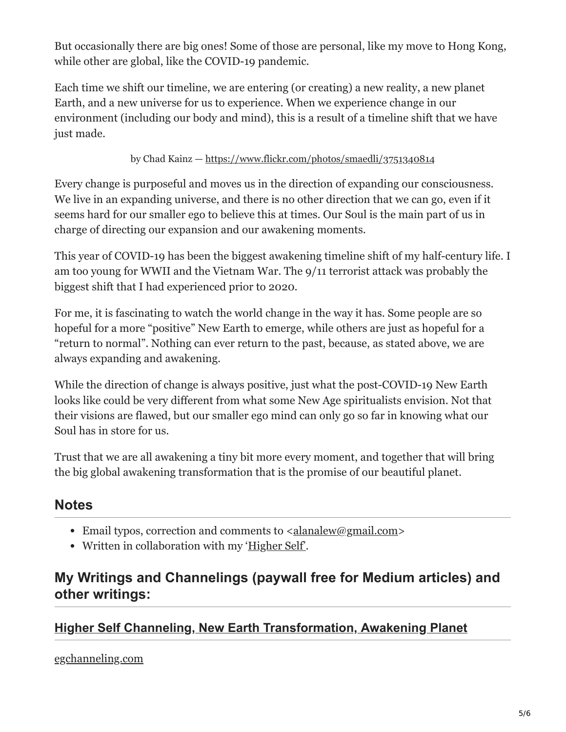But occasionally there are big ones! Some of those are personal, like my move to Hong Kong, while other are global, like the COVID-19 pandemic.

Each time we shift our timeline, we are entering (or creating) a new reality, a new planet Earth, and a new universe for us to experience. When we experience change in our environment (including our body and mind), this is a result of a timeline shift that we have just made.

#### by Chad Kainz —<https://www.flickr.com/photos/smaedli/3751340814>

Every change is purposeful and moves us in the direction of expanding our consciousness. We live in an expanding universe, and there is no other direction that we can go, even if it seems hard for our smaller ego to believe this at times. Our Soul is the main part of us in charge of directing our expansion and our awakening moments.

This year of COVID-19 has been the biggest awakening timeline shift of my half-century life. I am too young for WWII and the Vietnam War. The 9/11 terrorist attack was probably the biggest shift that I had experienced prior to 2020.

For me, it is fascinating to watch the world change in the way it has. Some people are so hopeful for a more "positive" New Earth to emerge, while others are just as hopeful for a "return to normal". Nothing can ever return to the past, because, as stated above, we are always expanding and awakening.

While the direction of change is always positive, just what the post-COVID-19 New Earth looks like could be very different from what some New Age spiritualists envision. Not that their visions are flawed, but our smaller ego mind can only go so far in knowing what our Soul has in store for us.

Trust that we are all awakening a tiny bit more every moment, and together that will bring the big global awakening transformation that is the promise of our beautiful planet.

### **Notes**

- Email typos, correction and comments to  $\alpha$  alanalew@gmail.com>
- Written in collaboration with my ['Higher Self'.](https://medium.com/journal-of-journeys/channeling-my-self-ce9f9a4e7d10?source=friends_link&sk=c90354e1994c8b64f96e73ec51beb203)

### **My Writings and Channelings (paywall free for Medium articles) and other writings:**

### **[Higher Self Channeling, New Earth Transformation, Awakening Planet](https://egchanneling.com/)**

egchanneling.com